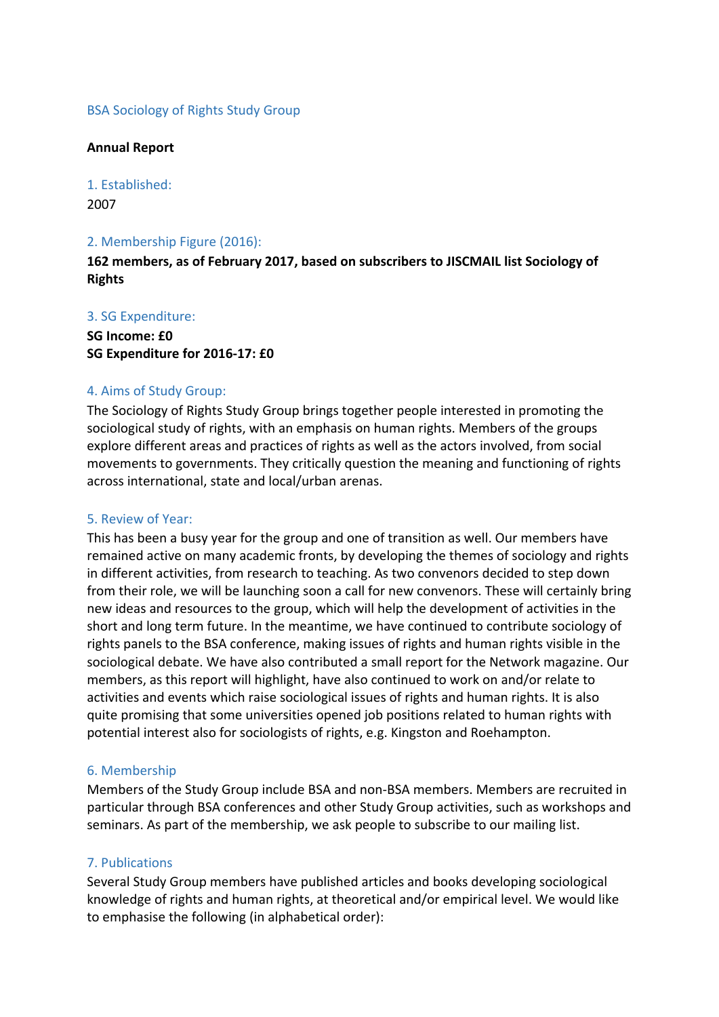### BSA Sociology of Rights Study Group

#### **Annual Report**

1. Established: 2007

### 2. Membership Figure (2016):

**162 members, as of February 2017, based on subscribers to JISCMAIL list Sociology of Rights** 

### 3. SG Expenditure:

**SG Income: £0 SG Expenditure for 2016‐17: £0**

### 4. Aims of Study Group:

The Sociology of Rights Study Group brings together people interested in promoting the sociological study of rights, with an emphasis on human rights. Members of the groups explore different areas and practices of rights as well as the actors involved, from social movements to governments. They critically question the meaning and functioning of rights across international, state and local/urban arenas.

#### 5. Review of Year:

This has been a busy year for the group and one of transition as well. Our members have remained active on many academic fronts, by developing the themes of sociology and rights in different activities, from research to teaching. As two convenors decided to step down from their role, we will be launching soon a call for new convenors. These will certainly bring new ideas and resources to the group, which will help the development of activities in the short and long term future. In the meantime, we have continued to contribute sociology of rights panels to the BSA conference, making issues of rights and human rights visible in the sociological debate. We have also contributed a small report for the Network magazine. Our members, as this report will highlight, have also continued to work on and/or relate to activities and events which raise sociological issues of rights and human rights. It is also quite promising that some universities opened job positions related to human rights with potential interest also for sociologists of rights, e.g. Kingston and Roehampton.

### 6. Membership

Members of the Study Group include BSA and non‐BSA members. Members are recruited in particular through BSA conferences and other Study Group activities, such as workshops and seminars. As part of the membership, we ask people to subscribe to our mailing list.

### 7. Publications

Several Study Group members have published articles and books developing sociological knowledge of rights and human rights, at theoretical and/or empirical level. We would like to emphasise the following (in alphabetical order):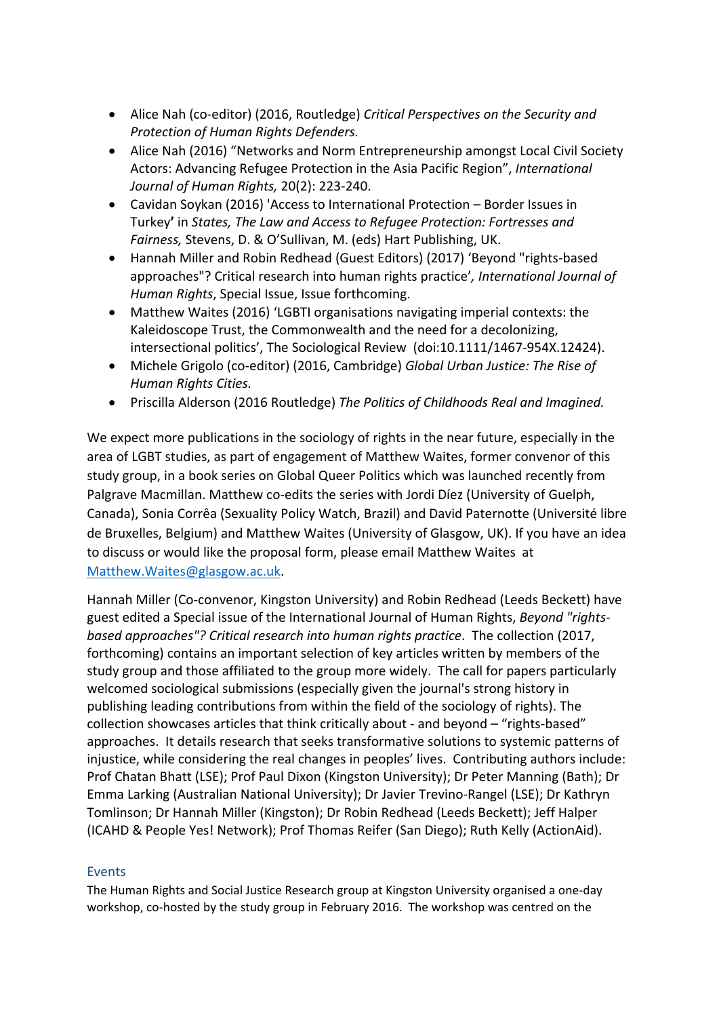- Alice Nah (co‐editor) (2016, Routledge) *Critical Perspectives on the Security and Protection of Human Rights Defenders.*
- Alice Nah (2016) "Networks and Norm Entrepreneurship amongst Local Civil Society Actors: Advancing Refugee Protection in the Asia Pacific Region", *International Journal of Human Rights,* 20(2): 223‐240.
- Cavidan Soykan (2016) 'Access to International Protection Border Issues in Turkey**'** in *States, The Law and Access to Refugee Protection: Fortresses and Fairness,* Stevens, D. & O'Sullivan, M. (eds) Hart Publishing, UK.
- Hannah Miller and Robin Redhead (Guest Editors) (2017) 'Beyond "rights‐based approaches"? Critical research into human rights practice'*, International Journal of Human Rights*, Special Issue, Issue forthcoming.
- Matthew Waites (2016) 'LGBTI organisations navigating imperial contexts: the Kaleidoscope Trust, the Commonwealth and the need for a decolonizing, intersectional politics', The Sociological Review (doi:10.1111/1467‐954X.12424).
- Michele Grigolo (co‐editor) (2016, Cambridge) *Global Urban Justice: The Rise of Human Rights Cities.*
- Priscilla Alderson (2016 Routledge) *The Politics of Childhoods Real and Imagined.*

We expect more publications in the sociology of rights in the near future, especially in the area of LGBT studies, as part of engagement of Matthew Waites, former convenor of this study group, in a book series on Global Queer Politics which was launched recently from Palgrave Macmillan. Matthew co-edits the series with Jordi Díez (University of Guelph, Canada), Sonia Corrêa (Sexuality Policy Watch, Brazil) and David Paternotte (Université libre de Bruxelles, Belgium) and Matthew Waites (University of Glasgow, UK). If you have an idea to discuss or would like the proposal form, please email Matthew Waites at Matthew.Waites@glasgow.ac.uk.

Hannah Miller (Co-convenor, Kingston University) and Robin Redhead (Leeds Beckett) have guest edited a Special issue of the International Journal of Human Rights, *Beyond "rights‐ based approaches"? Critical research into human rights practice*. The collection (2017, forthcoming) contains an important selection of key articles written by members of the study group and those affiliated to the group more widely. The call for papers particularly welcomed sociological submissions (especially given the journal's strong history in publishing leading contributions from within the field of the sociology of rights). The collection showcases articles that think critically about ‐ and beyond – "rights‐based" approaches. It details research that seeks transformative solutions to systemic patterns of injustice, while considering the real changes in peoples' lives. Contributing authors include: Prof Chatan Bhatt (LSE); Prof Paul Dixon (Kingston University); Dr Peter Manning (Bath); Dr Emma Larking (Australian National University); Dr Javier Trevino‐Rangel (LSE); Dr Kathryn Tomlinson; Dr Hannah Miller (Kingston); Dr Robin Redhead (Leeds Beckett); Jeff Halper (ICAHD & People Yes! Network); Prof Thomas Reifer (San Diego); Ruth Kelly (ActionAid).

## Events

The Human Rights and Social Justice Research group at Kingston University organised a one‐day workshop, co-hosted by the study group in February 2016. The workshop was centred on the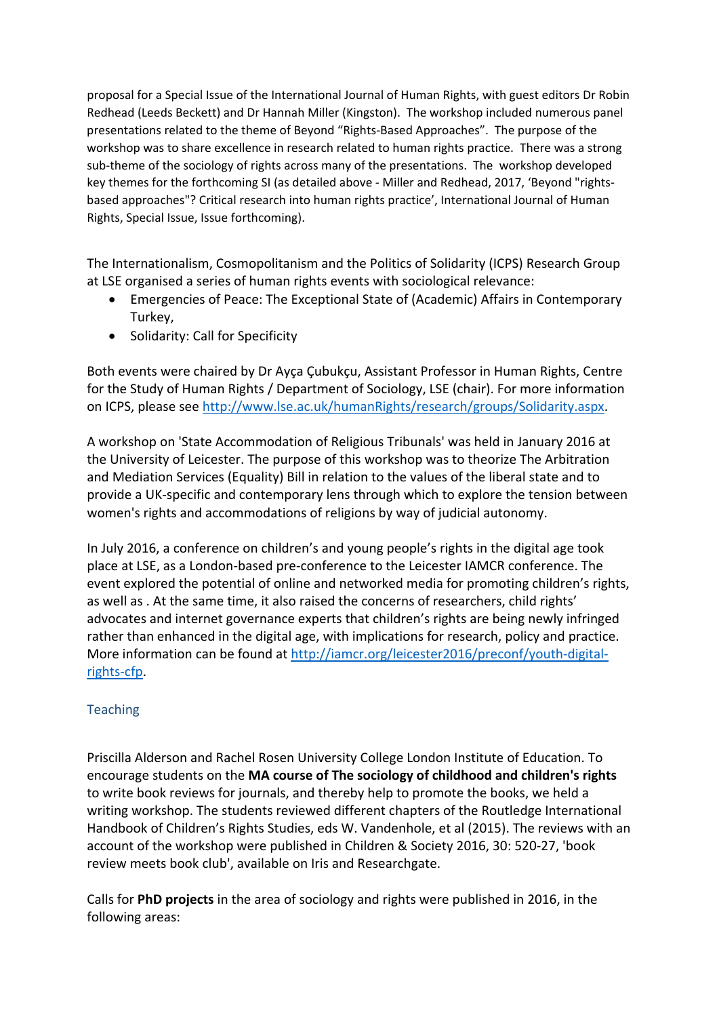proposal for a Special Issue of the International Journal of Human Rights, with guest editors Dr Robin Redhead (Leeds Beckett) and Dr Hannah Miller (Kingston). The workshop included numerous panel presentations related to the theme of Beyond "Rights‐Based Approaches". The purpose of the workshop was to share excellence in research related to human rights practice. There was a strong sub-theme of the sociology of rights across many of the presentations. The workshop developed key themes for the forthcoming SI (as detailed above - Miller and Redhead, 2017, 'Beyond "rightsbased approaches"? Critical research into human rights practice', International Journal of Human Rights, Special Issue, Issue forthcoming).

The Internationalism, Cosmopolitanism and the Politics of Solidarity (ICPS) Research Group at LSE organised a series of human rights events with sociological relevance:

- Emergencies of Peace: The Exceptional State of (Academic) Affairs in Contemporary Turkey,
- Solidarity: Call for Specificity

Both events were chaired by Dr Ayça Çubukçu, Assistant Professor in Human Rights, Centre for the Study of Human Rights / Department of Sociology, LSE (chair). For more information on ICPS, please see http://www.lse.ac.uk/humanRights/research/groups/Solidarity.aspx.

A workshop on 'State Accommodation of Religious Tribunals' was held in January 2016 at the University of Leicester. The purpose of this workshop was to theorize The Arbitration and Mediation Services (Equality) Bill in relation to the values of the liberal state and to provide a UK‐specific and contemporary lens through which to explore the tension between women's rights and accommodations of religions by way of judicial autonomy.

In July 2016, a conference on children's and young people's rights in the digital age took place at LSE, as a London‐based pre‐conference to the Leicester IAMCR conference. The event explored the potential of online and networked media for promoting children's rights, as well as . At the same time, it also raised the concerns of researchers, child rights' advocates and internet governance experts that children's rights are being newly infringed rather than enhanced in the digital age, with implications for research, policy and practice. More information can be found at http://iamcr.org/leicester2016/preconf/youth-digitalrights‐cfp.

## **Teaching**

Priscilla Alderson and Rachel Rosen University College London Institute of Education. To encourage students on the **MA course of The sociology of childhood and children's rights** to write book reviews for journals, and thereby help to promote the books, we held a writing workshop. The students reviewed different chapters of the Routledge International Handbook of Children's Rights Studies, eds W. Vandenhole, et al (2015). The reviews with an account of the workshop were published in Children & Society 2016, 30: 520‐27, 'book review meets book club', available on Iris and Researchgate.

Calls for **PhD projects** in the area of sociology and rights were published in 2016, in the following areas: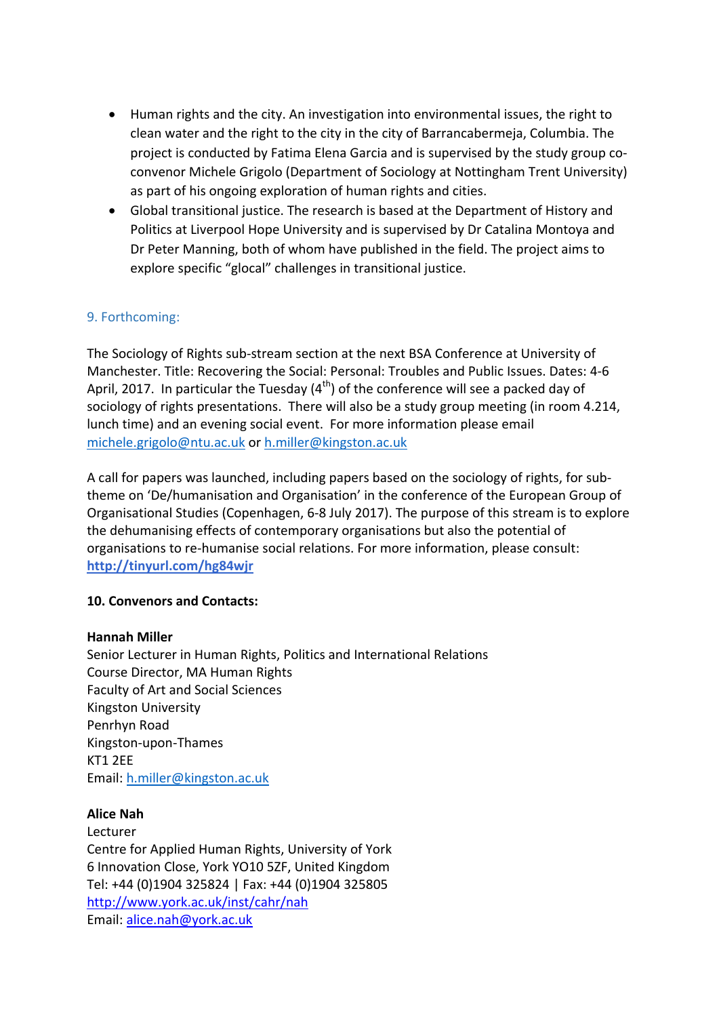- Human rights and the city. An investigation into environmental issues, the right to clean water and the right to the city in the city of Barrancabermeja, Columbia. The project is conducted by Fatima Elena Garcia and is supervised by the study group co‐ convenor Michele Grigolo (Department of Sociology at Nottingham Trent University) as part of his ongoing exploration of human rights and cities.
- Global transitional justice. The research is based at the Department of History and Politics at Liverpool Hope University and is supervised by Dr Catalina Montoya and Dr Peter Manning, both of whom have published in the field. The project aims to explore specific "glocal" challenges in transitional justice.

# 9. Forthcoming:

The Sociology of Rights sub‐stream section at the next BSA Conference at University of Manchester. Title: Recovering the Social: Personal: Troubles and Public Issues. Dates: 4‐6 April, 2017. In particular the Tuesday  $(4<sup>th</sup>)$  of the conference will see a packed day of sociology of rights presentations. There will also be a study group meeting (in room 4.214, lunch time) and an evening social event. For more information please email michele.grigolo@ntu.ac.uk or h.miller@kingston.ac.uk

A call for papers was launched, including papers based on the sociology of rights, for sub‐ theme on 'De/humanisation and Organisation' in the conference of the European Group of Organisational Studies (Copenhagen, 6‐8 July 2017). The purpose of this stream is to explore the dehumanising effects of contemporary organisations but also the potential of organisations to re‐humanise social relations. For more information, please consult: **http://tinyurl.com/hg84wjr**

## **10. Convenors and Contacts:**

### **Hannah Miller**

Senior Lecturer in Human Rights, Politics and International Relations Course Director, MA Human Rights Faculty of Art and Social Sciences Kingston University Penrhyn Road Kingston‐upon‐Thames KT1 2EE Email: h.miller@kingston.ac.uk

### **Alice Nah**

Lecturer Centre for Applied Human Rights, University of York 6 Innovation Close, York YO10 5ZF, United Kingdom Tel: +44 (0)1904 325824 | Fax: +44 (0)1904 325805 http://www.york.ac.uk/inst/cahr/nah Email: alice.nah@york.ac.uk